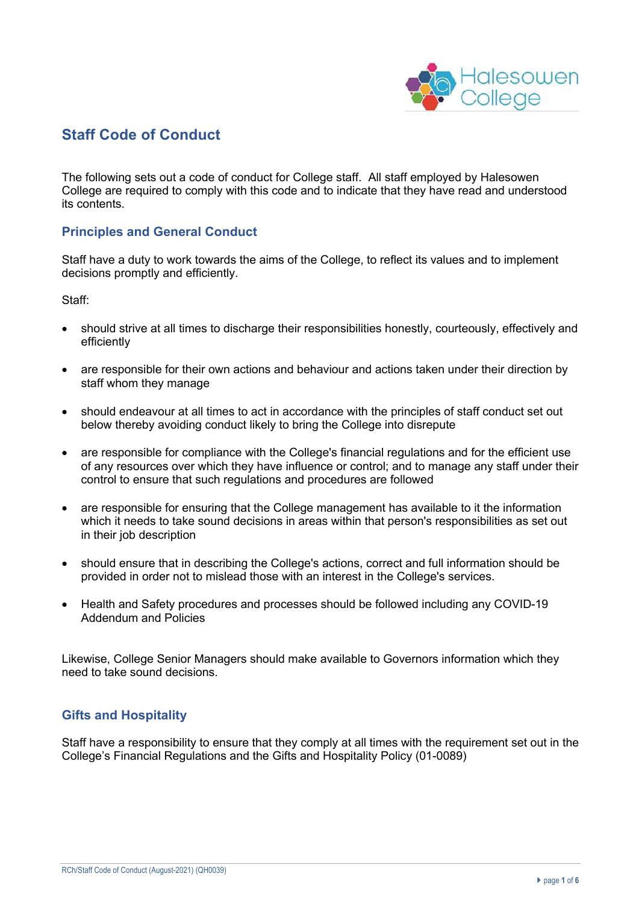

# **Staff Code of Conduct**

The following sets out a code of conduct for College staff. All staff employed by Halesowen College are required to comply with this code and to indicate that they have read and understood its contents.

# **Principles and General Conduct**

Staff have a duty to work towards the aims of the College, to reflect its values and to implement decisions promptly and efficiently.

Staff:

- should strive at all times to discharge their responsibilities honestly, courteously, effectively and efficiently
- are responsible for their own actions and behaviour and actions taken under their direction by staff whom they manage
- should endeavour at all times to act in accordance with the principles of staff conduct set out below thereby avoiding conduct likely to bring the College into disrepute
- are responsible for compliance with the College's financial regulations and for the efficient use of any resources over which they have influence or control; and to manage any staff under their control to ensure that such regulations and procedures are followed
- are responsible for ensuring that the College management has available to it the information which it needs to take sound decisions in areas within that person's responsibilities as set out in their job description
- should ensure that in describing the College's actions, correct and full information should be provided in order not to mislead those with an interest in the College's services.
- Health and Safety procedures and processes should be followed including any COVID-19 Addendum and Policies

Likewise, College Senior Managers should make available to Governors information which they need to take sound decisions.

#### **Gifts and Hospitality**

Staff have a responsibility to ensure that they comply at all times with the requirement set out in the College's Financial Regulations and the Gifts and Hospitality Policy (01-0089)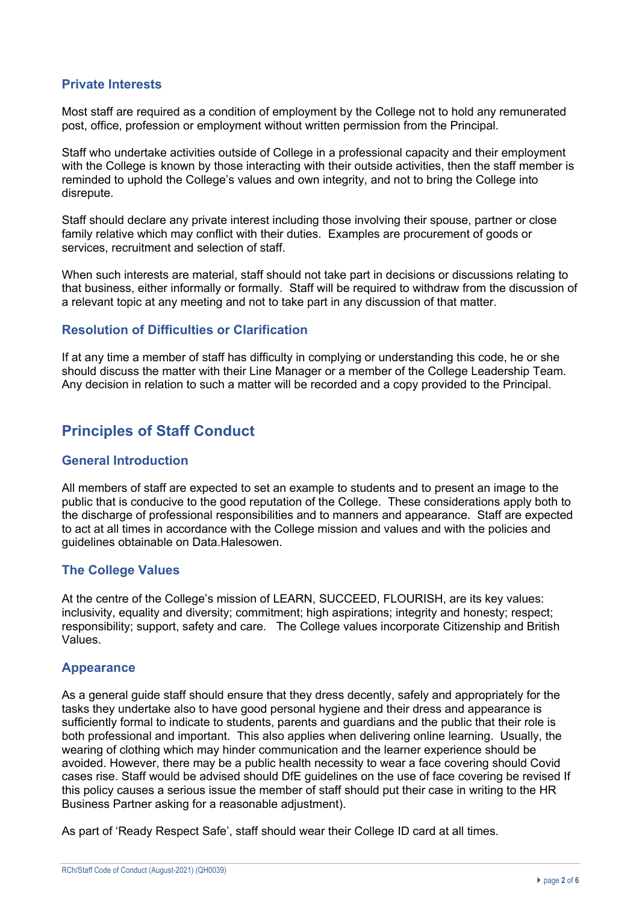# **Private Interests**

Most staff are required as a condition of employment by the College not to hold any remunerated post, office, profession or employment without written permission from the Principal.

Staff who undertake activities outside of College in a professional capacity and their employment with the College is known by those interacting with their outside activities, then the staff member is reminded to uphold the College's values and own integrity, and not to bring the College into disrepute.

Staff should declare any private interest including those involving their spouse, partner or close family relative which may conflict with their duties. Examples are procurement of goods or services, recruitment and selection of staff.

When such interests are material, staff should not take part in decisions or discussions relating to that business, either informally or formally. Staff will be required to withdraw from the discussion of a relevant topic at any meeting and not to take part in any discussion of that matter.

# **Resolution of Difficulties or Clarification**

If at any time a member of staff has difficulty in complying or understanding this code, he or she should discuss the matter with their Line Manager or a member of the College Leadership Team. Any decision in relation to such a matter will be recorded and a copy provided to the Principal.

# **Principles of Staff Conduct**

#### **General Introduction**

All members of staff are expected to set an example to students and to present an image to the public that is conducive to the good reputation of the College. These considerations apply both to the discharge of professional responsibilities and to manners and appearance. Staff are expected to act at all times in accordance with the College mission and values and with the policies and guidelines obtainable on Data.Halesowen.

# **The College Values**

At the centre of the College's mission of LEARN, SUCCEED, FLOURISH, are its key values: inclusivity, equality and diversity; commitment; high aspirations; integrity and honesty; respect; responsibility; support, safety and care. The College values incorporate Citizenship and British Values.

#### **Appearance**

As a general guide staff should ensure that they dress decently, safely and appropriately for the tasks they undertake also to have good personal hygiene and their dress and appearance is sufficiently formal to indicate to students, parents and guardians and the public that their role is both professional and important. This also applies when delivering online learning. Usually, the wearing of clothing which may hinder communication and the learner experience should be avoided. However, there may be a public health necessity to wear a face covering should Covid cases rise. Staff would be advised should DfE guidelines on the use of face covering be revised If this policy causes a serious issue the member of staff should put their case in writing to the HR Business Partner asking for a reasonable adjustment).

As part of 'Ready Respect Safe', staff should wear their College ID card at all times.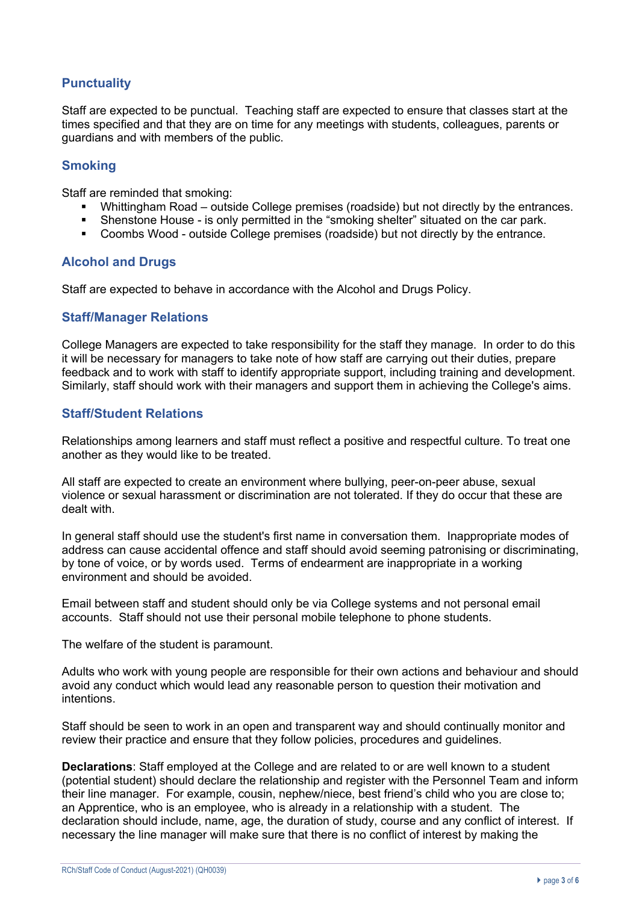# **Punctuality**

Staff are expected to be punctual. Teaching staff are expected to ensure that classes start at the times specified and that they are on time for any meetings with students, colleagues, parents or guardians and with members of the public.

# **Smoking**

Staff are reminded that smoking:

- Whittingham Road outside College premises (roadside) but not directly by the entrances.
- Shenstone House is only permitted in the "smoking shelter" situated on the car park.
- § Coombs Wood outside College premises (roadside) but not directly by the entrance.

# **Alcohol and Drugs**

Staff are expected to behave in accordance with the Alcohol and Drugs Policy.

#### **Staff/Manager Relations**

College Managers are expected to take responsibility for the staff they manage. In order to do this it will be necessary for managers to take note of how staff are carrying out their duties, prepare feedback and to work with staff to identify appropriate support, including training and development. Similarly, staff should work with their managers and support them in achieving the College's aims.

# **Staff/Student Relations**

Relationships among learners and staff must reflect a positive and respectful culture. To treat one another as they would like to be treated.

All staff are expected to create an environment where bullying, peer-on-peer abuse, sexual violence or sexual harassment or discrimination are not tolerated. If they do occur that these are dealt with.

In general staff should use the student's first name in conversation them. Inappropriate modes of address can cause accidental offence and staff should avoid seeming patronising or discriminating, by tone of voice, or by words used. Terms of endearment are inappropriate in a working environment and should be avoided.

Email between staff and student should only be via College systems and not personal email accounts. Staff should not use their personal mobile telephone to phone students.

The welfare of the student is paramount.

Adults who work with young people are responsible for their own actions and behaviour and should avoid any conduct which would lead any reasonable person to question their motivation and intentions.

Staff should be seen to work in an open and transparent way and should continually monitor and review their practice and ensure that they follow policies, procedures and guidelines.

**Declarations**: Staff employed at the College and are related to or are well known to a student (potential student) should declare the relationship and register with the Personnel Team and inform their line manager. For example, cousin, nephew/niece, best friend's child who you are close to; an Apprentice, who is an employee, who is already in a relationship with a student. The declaration should include, name, age, the duration of study, course and any conflict of interest. If necessary the line manager will make sure that there is no conflict of interest by making the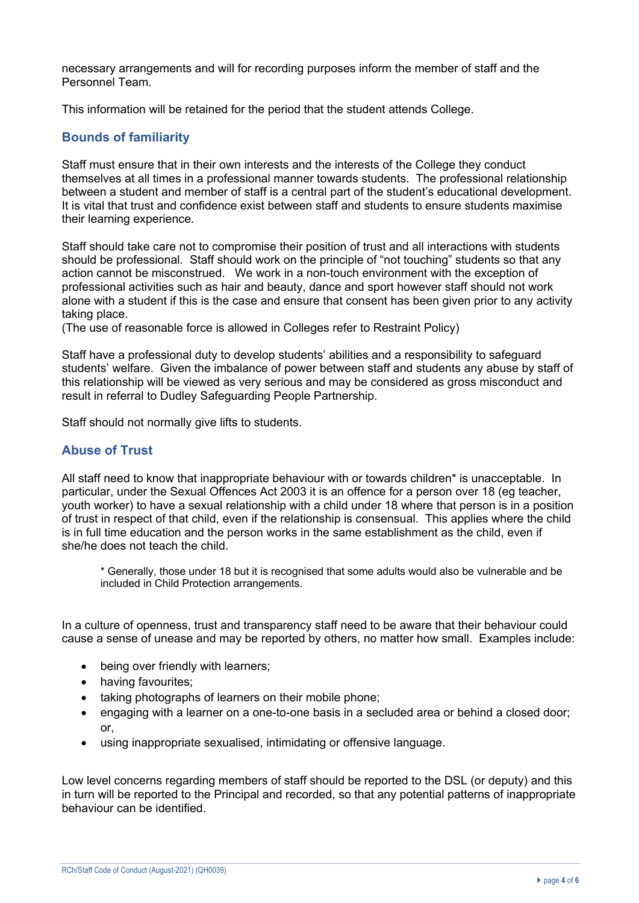necessary arrangements and will for recording purposes inform the member of staff and the Personnel Team.

This information will be retained for the period that the student attends College.

# **Bounds of familiarity**

Staff must ensure that in their own interests and the interests of the College they conduct themselves at all times in a professional manner towards students. The professional relationship between a student and member of staff is a central part of the student's educational development. It is vital that trust and confidence exist between staff and students to ensure students maximise their learning experience.

Staff should take care not to compromise their position of trust and all interactions with students should be professional. Staff should work on the principle of "not touching" students so that any action cannot be misconstrued. We work in a non-touch environment with the exception of professional activities such as hair and beauty, dance and sport however staff should not work alone with a student if this is the case and ensure that consent has been given prior to any activity taking place.

(The use of reasonable force is allowed in Colleges refer to Restraint Policy)

Staff have a professional duty to develop students' abilities and a responsibility to safeguard students' welfare. Given the imbalance of power between staff and students any abuse by staff of this relationship will be viewed as very serious and may be considered as gross misconduct and result in referral to Dudley Safeguarding People Partnership.

Staff should not normally give lifts to students.

# **Abuse of Trust**

All staff need to know that inappropriate behaviour with or towards children\* is unacceptable. In particular, under the Sexual Offences Act 2003 it is an offence for a person over 18 (eg teacher, youth worker) to have a sexual relationship with a child under 18 where that person is in a position of trust in respect of that child, even if the relationship is consensual. This applies where the child is in full time education and the person works in the same establishment as the child, even if she/he does not teach the child.

\* Generally, those under 18 but it is recognised that some adults would also be vulnerable and be included in Child Protection arrangements.

In a culture of openness, trust and transparency staff need to be aware that their behaviour could cause a sense of unease and may be reported by others, no matter how small. Examples include:

- being over friendly with learners;
- having favourites;
- taking photographs of learners on their mobile phone;
- engaging with a learner on a one-to-one basis in a secluded area or behind a closed door; or,
- using inappropriate sexualised, intimidating or offensive language.

Low level concerns regarding members of staff should be reported to the DSL (or deputy) and this in turn will be reported to the Principal and recorded, so that any potential patterns of inappropriate behaviour can be identified.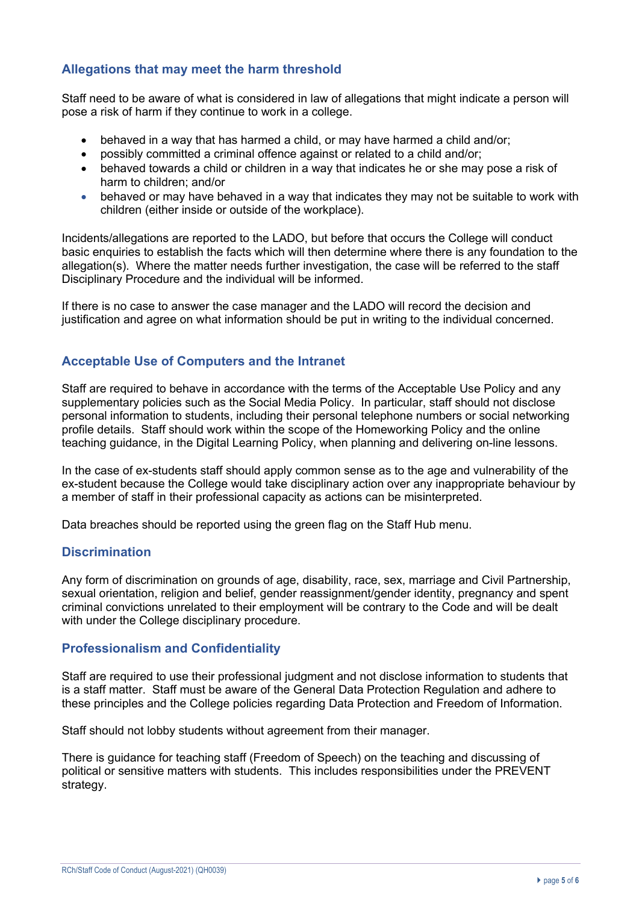# **Allegations that may meet the harm threshold**

Staff need to be aware of what is considered in law of allegations that might indicate a person will pose a risk of harm if they continue to work in a college.

- behaved in a way that has harmed a child, or may have harmed a child and/or;
- possibly committed a criminal offence against or related to a child and/or;
- behaved towards a child or children in a way that indicates he or she may pose a risk of harm to children; and/or
- behaved or may have behaved in a way that indicates they may not be suitable to work with children (either inside or outside of the workplace).

Incidents/allegations are reported to the LADO, but before that occurs the College will conduct basic enquiries to establish the facts which will then determine where there is any foundation to the allegation(s). Where the matter needs further investigation, the case will be referred to the staff Disciplinary Procedure and the individual will be informed.

If there is no case to answer the case manager and the LADO will record the decision and justification and agree on what information should be put in writing to the individual concerned.

# **Acceptable Use of Computers and the Intranet**

Staff are required to behave in accordance with the terms of the Acceptable Use Policy and any supplementary policies such as the Social Media Policy. In particular, staff should not disclose personal information to students, including their personal telephone numbers or social networking profile details. Staff should work within the scope of the Homeworking Policy and the online teaching guidance, in the Digital Learning Policy, when planning and delivering on-line lessons.

In the case of ex-students staff should apply common sense as to the age and vulnerability of the ex-student because the College would take disciplinary action over any inappropriate behaviour by a member of staff in their professional capacity as actions can be misinterpreted.

Data breaches should be reported using the green flag on the Staff Hub menu.

#### **Discrimination**

Any form of discrimination on grounds of age, disability, race, sex, marriage and Civil Partnership, sexual orientation, religion and belief, gender reassignment/gender identity, pregnancy and spent criminal convictions unrelated to their employment will be contrary to the Code and will be dealt with under the College disciplinary procedure.

#### **Professionalism and Confidentiality**

Staff are required to use their professional judgment and not disclose information to students that is a staff matter. Staff must be aware of the General Data Protection Regulation and adhere to these principles and the College policies regarding Data Protection and Freedom of Information.

Staff should not lobby students without agreement from their manager.

There is guidance for teaching staff (Freedom of Speech) on the teaching and discussing of political or sensitive matters with students. This includes responsibilities under the PREVENT strategy.